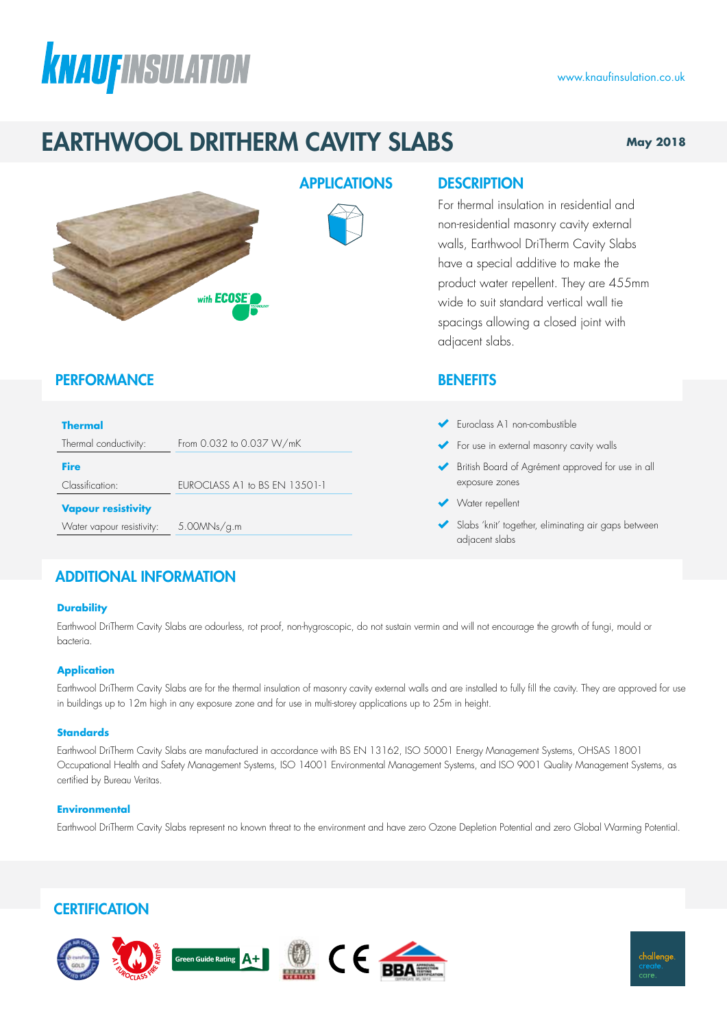# **KNAUFINSULATION**

## EARTHWOOL DRITHERM CAVITY SLABS

#### **May 2018**

www.knaufinsulation.co.uk



Thermal conductivity: From 0.032 to 0.037 W/mK

Classification: EUROCLASS A1 to BS EN 13501-1

#### **PERFORMANCE**

**Vapour resistivity**

**Thermal**

**Fire**

#### APPLICATIONS DESCRIPTION

For thermal insulation in residential and non-residential masonry cavity external walls, Earthwool DriTherm Cavity Slabs have a special additive to make the product water repellent. They are 455mm wide to suit standard vertical wall tie spacings allowing a closed joint with adjacent slabs.

#### **BENEFITS**

- Euroclass A1 non-combustible
- For use in external masonry cavity walls
- British Board of Agrément approved for use in all exposure zones
- Water repellent
- Slabs 'knit' together, eliminating air gaps between adjacent slabs

### ADDITIONAL INFORMATION

Water vapour resistivity: 5.00MNs/g.m

#### **Durability**

Earthwool DriTherm Cavity Slabs are odourless, rot proof, non-hygroscopic, do not sustain vermin and will not encourage the growth of fungi, mould or bacteria.

#### **Application**

Earthwool DriTherm Cavity Slabs are for the thermal insulation of masonry cavity external walls and are installed to fully fill the cavity. They are approved for use in buildings up to 12m high in any exposure zone and for use in multi-storey applications up to 25m in height.

#### **Standards**

Earthwool DriTherm Cavity Slabs are manufactured in accordance with BS EN 13162, ISO 50001 Energy Management Systems, OHSAS 18001 Occupational Health and Safety Management Systems, ISO 14001 Environmental Management Systems, and ISO 9001 Quality Management Systems, as certified by Bureau Veritas.

#### **Environmental**

Earthwool DriTherm Cavity Slabs represent no known threat to the environment and have zero Ozone Depletion Potential and zero Global Warming Potential.

### **CERTIFICATION**

ァ